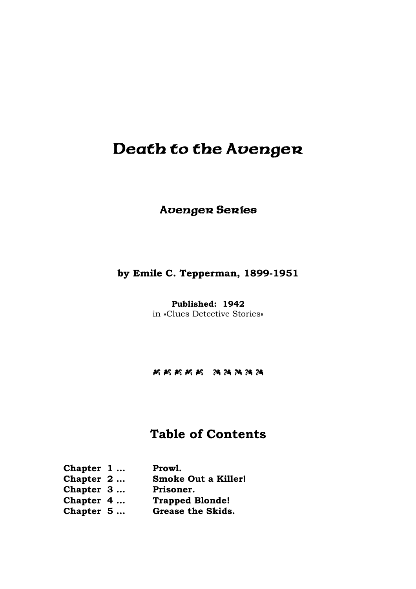# Death to the Avenger

### Avenger Series

### **by Emile C. Tepperman, 1899-1951**

**Published: 1942**  in »Clues Detective Stories«

#### J J J J JI I I I I

### **Table of Contents**

| Chapter $1$ | Prowl.                     |
|-------------|----------------------------|
| Chapter $2$ | <b>Smoke Out a Killer!</b> |
| Chapter 3   | Prisoner.                  |
| Chapter 4   | <b>Trapped Blonde!</b>     |
| Chapter $5$ | Grease the Skids.          |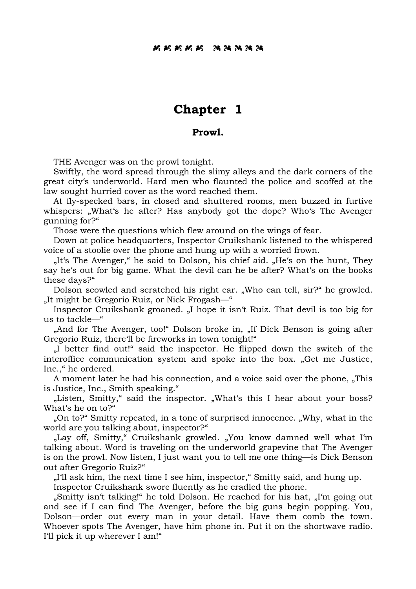### **Chapter 1**

#### **Prowl.**

THE Avenger was on the prowl tonight.

 Swiftly, the word spread through the slimy alleys and the dark corners of the great city's underworld. Hard men who flaunted the police and scoffed at the law sought hurried cover as the word reached them.

 At fly-specked bars, in closed and shuttered rooms, men buzzed in furtive whispers: "What's he after? Has anybody got the dope? Who's The Avenger gunning for?"

Those were the questions which flew around on the wings of fear.

 Down at police headquarters, Inspector Cruikshank listened to the whispered voice of a stoolie over the phone and hung up with a worried frown.

"It's The Avenger," he said to Dolson, his chief aid. "He's on the hunt, They say he's out for big game. What the devil can he be after? What's on the books these days?"

Dolson scowled and scratched his right ear. "Who can tell, sir?" he growled. "It might be Gregorio Ruiz, or Nick Frogash—"

Inspector Cruikshank groaned. "I hope it isn't Ruiz. That devil is too big for us to tackle—"

"And for The Avenger, too!" Dolson broke in, "If Dick Benson is going after Gregorio Ruiz, there'll be fireworks in town tonight!"

 "I better find out!" said the inspector. He flipped down the switch of the interoffice communication system and spoke into the box. "Get me Justice, Inc.," he ordered.

A moment later he had his connection, and a voice said over the phone, "This is Justice, Inc., Smith speaking."

"Listen, Smitty," said the inspector. "What's this I hear about your boss? What's he on to?"

 "On to?" Smitty repeated, in a tone of surprised innocence. "Why, what in the world are you talking about, inspector?"

"Lay off, Smitty," Cruikshank growled. "You know damned well what I'm talking about. Word is traveling on the underworld grapevine that The Avenger is on the prowl. Now listen, I just want you to tell me one thing—is Dick Benson out after Gregorio Ruiz?"

"I'll ask him, the next time I see him, inspector," Smitty said, and hung up.

Inspector Cruikshank swore fluently as he cradled the phone.

"Smitty isn't talking!" he told Dolson. He reached for his hat, "I'm going out" and see if I can find The Avenger, before the big guns begin popping. You, Dolson—order out every man in your detail. Have them comb the town. Whoever spots The Avenger, have him phone in. Put it on the shortwave radio. I'll pick it up wherever I am!"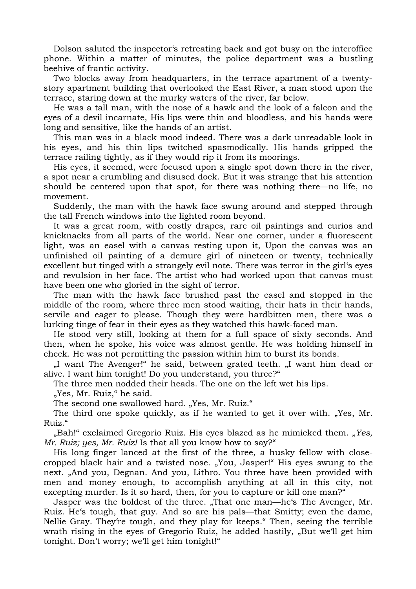Dolson saluted the inspector's retreating back and got busy on the interoffice phone. Within a matter of minutes, the police department was a bustling beehive of frantic activity.

 Two blocks away from headquarters, in the terrace apartment of a twentystory apartment building that overlooked the East River, a man stood upon the terrace, staring down at the murky waters of the river, far below.

 He was a tall man, with the nose of a hawk and the look of a falcon and the eyes of a devil incarnate, His lips were thin and bloodless, and his hands were long and sensitive, like the hands of an artist.

 This man was in a black mood indeed. There was a dark unreadable look in his eyes, and his thin lips twitched spasmodically. His hands gripped the terrace railing tightly, as if they would rip it from its moorings.

 His eyes, it seemed, were focused upon a single spot down there in the river, a spot near a crumbling and disused dock. But it was strange that his attention should be centered upon that spot, for there was nothing there—no life, no movement.

 Suddenly, the man with the hawk face swung around and stepped through the tall French windows into the lighted room beyond.

 It was a great room, with costly drapes, rare oil paintings and curios and knicknacks from all parts of the world. Near one corner, under a fluorescent light, was an easel with a canvas resting upon it, Upon the canvas was an unfinished oil painting of a demure girl of nineteen or twenty, technically excellent but tinged with a strangely evil note. There was terror in the girl's eyes and revulsion in her face. The artist who had worked upon that canvas must have been one who gloried in the sight of terror.

 The man with the hawk face brushed past the easel and stopped in the middle of the room, where three men stood waiting, their hats in their hands, servile and eager to please. Though they were hardbitten men, there was a lurking tinge of fear in their eyes as they watched this hawk-faced man.

 He stood very still, looking at them for a full space of sixty seconds. And then, when he spoke, his voice was almost gentle. He was holding himself in check. He was not permitting the passion within him to burst its bonds.

 "I want The Avenger!" he said, between grated teeth. "I want him dead or alive. I want him tonight! Do you understand, you three?"

The three men nodded their heads. The one on the left wet his lips.

"Yes, Mr. Ruiz," he said.

The second one swallowed hard. "Yes, Mr. Ruiz."

The third one spoke quickly, as if he wanted to get it over with. "Yes, Mr. Ruiz."

 "Bah!" exclaimed Gregorio Ruiz. His eyes blazed as he mimicked them. "*Yes, Mr. Ruiz; yes, Mr. Ruiz!* Is that all you know how to say?"

 His long finger lanced at the first of the three, a husky fellow with closecropped black hair and a twisted nose. "You, Jasper!" His eyes swung to the next. "And you, Degnan. And you, Lithro. You three have been provided with men and money enough, to accomplish anything at all in this city, not excepting murder. Is it so hard, then, for you to capture or kill one man?"

Jasper was the boldest of the three. "That one man—he's The Avenger, Mr. Ruiz. He's tough, that guy. And so are his pals—that Smitty; even the dame, Nellie Gray. They're tough, and they play for keeps." Then, seeing the terrible wrath rising in the eyes of Gregorio Ruiz, he added hastily, "But we'll get him tonight. Don't worry; we'll get him tonight!"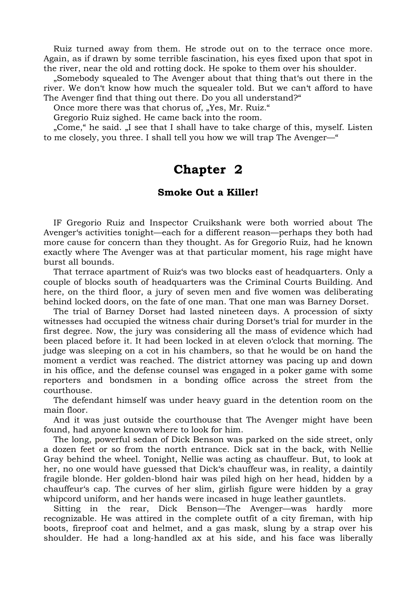Ruiz turned away from them. He strode out on to the terrace once more. Again, as if drawn by some terrible fascination, his eyes fixed upon that spot in the river, near the old and rotting dock. He spoke to them over his shoulder.

 "Somebody squealed to The Avenger about that thing that's out there in the river. We don't know how much the squealer told. But we can't afford to have The Avenger find that thing out there. Do you all understand?"

Once more there was that chorus of, "Yes, Mr. Ruiz."

Gregorio Ruiz sighed. He came back into the room.

"Come," he said. "I see that I shall have to take charge of this, myself. Listen to me closely, you three. I shall tell you how we will trap The Avenger—"

### **Chapter 2**

#### **Smoke Out a Killer!**

 IF Gregorio Ruiz and Inspector Cruikshank were both worried about The Avenger's activities tonight—each for a different reason—perhaps they both had more cause for concern than they thought. As for Gregorio Ruiz, had he known exactly where The Avenger was at that particular moment, his rage might have burst all bounds.

 That terrace apartment of Ruiz's was two blocks east of headquarters. Only a couple of blocks south of headquarters was the Criminal Courts Building. And here, on the third floor, a jury of seven men and five women was deliberating behind locked doors, on the fate of one man. That one man was Barney Dorset.

 The trial of Barney Dorset had lasted nineteen days. A procession of sixty witnesses had occupied the witness chair during Dorset's trial for murder in the first degree. Now, the jury was considering all the mass of evidence which had been placed before it. It had been locked in at eleven o'clock that morning. The judge was sleeping on a cot in his chambers, so that he would be on hand the moment a verdict was reached. The district attorney was pacing up and down in his office, and the defense counsel was engaged in a poker game with some reporters and bondsmen in a bonding office across the street from the courthouse.

 The defendant himself was under heavy guard in the detention room on the main floor.

 And it was just outside the courthouse that The Avenger might have been found, had anyone known where to look for him.

 The long, powerful sedan of Dick Benson was parked on the side street, only a dozen feet or so from the north entrance. Dick sat in the back, with Nellie Gray behind the wheel. Tonight, Nellie was acting as chauffeur. But, to look at her, no one would have guessed that Dick's chauffeur was, in reality, a daintily fragile blonde. Her golden-blond hair was piled high on her head, hidden by a chauffeur's cap. The curves of her slim, girlish figure were hidden by a gray whipcord uniform, and her hands were incased in huge leather gauntlets.

 Sitting in the rear, Dick Benson—The Avenger—was hardly more recognizable. He was attired in the complete outfit of a city fireman, with hip boots, fireproof coat and helmet, and a gas mask, slung by a strap over his shoulder. He had a long-handled ax at his side, and his face was liberally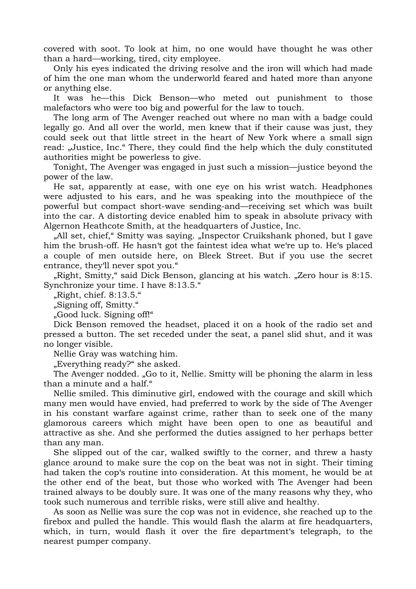covered with soot. To look at him, no one would have thought he was other than a hard—working, tired, city employee.

 Only his eyes indicated the driving resolve and the iron will which had made of him the one man whom the underworld feared and hated more than anyone or anything else.

 It was he—this Dick Benson—who meted out punishment to those malefactors who were too big and powerful for the law to touch.

 The long arm of The Avenger reached out where no man with a badge could legally go. And all over the world, men knew that if their cause was just, they could seek out that little street in the heart of New York where a small sign read: "Justice, Inc." There, they could find the help which the duly constituted authorities might be powerless to give.

 Tonight, The Avenger was engaged in just such a mission—justice beyond the power of the law.

 He sat, apparently at ease, with one eye on his wrist watch. Headphones were adjusted to his ears, and he was speaking into the mouthpiece of the powerful but compact short-wave sending-and—receiving set which was built into the car. A distorting device enabled him to speak in absolute privacy with Algernon Heathcote Smith, at the headquarters of Justice, Inc.

"All set, chief, "Smitty was saying. "Inspector Cruikshank phoned, but I gave him the brush-off. He hasn't got the faintest idea what we're up to. He's placed a couple of men outside here, on Bleek Street. But if you use the secret entrance, they'll never spot you."

"Right, Smitty," said Dick Benson, glancing at his watch. "Zero hour is 8:15. Synchronize your time. I have 8:13.5."

 $\mu$ Right, chief. 8:13.5."

"Signing off, Smitty."

"Good luck. Signing off!"

 Dick Benson removed the headset, placed it on a hook of the radio set and pressed a button. The set receded under the seat, a panel slid shut, and it was no longer visible.

Nellie Gray was watching him.

"Everything ready?" she asked.

The Avenger nodded. "Go to it, Nellie. Smitty will be phoning the alarm in less than a minute and a half."

 Nellie smiled. This diminutive girl, endowed with the courage and skill which many men would have envied, had preferred to work by the side of The Avenger in his constant warfare against crime, rather than to seek one of the many glamorous careers which might have been open to one as beautiful and attractive as she. And she performed the duties assigned to her perhaps better than any man.

 She slipped out of the car, walked swiftly to the corner, and threw a hasty glance around to make sure the cop on the beat was not in sight. Their timing had taken the cop's routine into consideration. At this moment, he would be at the other end of the beat, but those who worked with The Avenger had been trained always to be doubly sure. It was one of the many reasons why they, who took such numerous and terrible risks, were still alive and healthy.

 As soon as Nellie was sure the cop was not in evidence, she reached up to the firebox and pulled the handle. This would flash the alarm at fire headquarters, which, in turn, would flash it over the fire department's telegraph, to the nearest pumper company.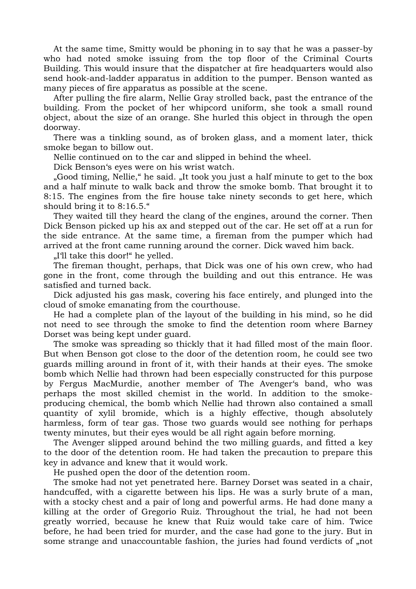At the same time, Smitty would be phoning in to say that he was a passer-by who had noted smoke issuing from the top floor of the Criminal Courts Building. This would insure that the dispatcher at fire headquarters would also send hook-and-ladder apparatus in addition to the pumper. Benson wanted as many pieces of fire apparatus as possible at the scene.

 After pulling the fire alarm, Nellie Gray strolled back, past the entrance of the building. From the pocket of her whipcord uniform, she took a small round object, about the size of an orange. She hurled this object in through the open doorway.

 There was a tinkling sound, as of broken glass, and a moment later, thick smoke began to billow out.

Nellie continued on to the car and slipped in behind the wheel.

Dick Benson's eyes were on his wrist watch.

 "Good timing, Nellie," he said. "It took you just a half minute to get to the box and a half minute to walk back and throw the smoke bomb. That brought it to 8:15. The engines from the fire house take ninety seconds to get here, which should bring it to 8:16.5."

 They waited till they heard the clang of the engines, around the corner. Then Dick Benson picked up his ax and stepped out of the car. He set off at a run for the side entrance. At the same time, a fireman from the pumper which had arrived at the front came running around the corner. Dick waved him back.

"I'll take this door!" he yelled.

 The fireman thought, perhaps, that Dick was one of his own crew, who had gone in the front, come through the building and out this entrance. He was satisfied and turned back.

 Dick adjusted his gas mask, covering his face entirely, and plunged into the cloud of smoke emanating from the courthouse.

 He had a complete plan of the layout of the building in his mind, so he did not need to see through the smoke to find the detention room where Barney Dorset was being kept under guard.

 The smoke was spreading so thickly that it had filled most of the main floor. But when Benson got close to the door of the detention room, he could see two guards milling around in front of it, with their hands at their eyes. The smoke bomb which Nellie had thrown had been especially constructed for this purpose by Fergus MacMurdie, another member of The Avenger's band, who was perhaps the most skilled chemist in the world. In addition to the smokeproducing chemical, the bomb which Nellie had thrown also contained a small quantity of xylil bromide, which is a highly effective, though absolutely harmless, form of tear gas. Those two guards would see nothing for perhaps twenty minutes, but their eyes would be all right again before morning.

 The Avenger slipped around behind the two milling guards, and fitted a key to the door of the detention room. He had taken the precaution to prepare this key in advance and knew that it would work.

He pushed open the door of the detention room.

 The smoke had not yet penetrated here. Barney Dorset was seated in a chair, handcuffed, with a cigarette between his lips. He was a surly brute of a man, with a stocky chest and a pair of long and powerful arms. He had done many a killing at the order of Gregorio Ruiz. Throughout the trial, he had not been greatly worried, because he knew that Ruiz would take care of him. Twice before, he had been tried for murder, and the case had gone to the jury. But in some strange and unaccountable fashion, the juries had found verdicts of "not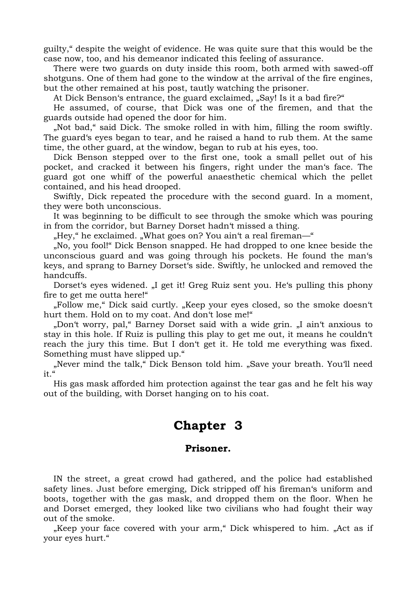guilty," despite the weight of evidence. He was quite sure that this would be the case now, too, and his demeanor indicated this feeling of assurance.

 There were two guards on duty inside this room, both armed with sawed-off shotguns. One of them had gone to the window at the arrival of the fire engines, but the other remained at his post, tautly watching the prisoner.

At Dick Benson's entrance, the guard exclaimed, "Say! Is it a bad fire?"

 He assumed, of course, that Dick was one of the firemen, and that the guards outside had opened the door for him.

 "Not bad," said Dick. The smoke rolled in with him, filling the room swiftly. The guard's eyes began to tear, and he raised a hand to rub them. At the same time, the other guard, at the window, began to rub at his eyes, too.

 Dick Benson stepped over to the first one, took a small pellet out of his pocket, and cracked it between his fingers, right under the man's face. The guard got one whiff of the powerful anaesthetic chemical which the pellet contained, and his head drooped.

 Swiftly, Dick repeated the procedure with the second guard. In a moment, they were both unconscious.

 It was beginning to be difficult to see through the smoke which was pouring in from the corridor, but Barney Dorset hadn't missed a thing.

"Hey," he exclaimed. "What goes on? You ain't a real fireman—"

 "No, you fool!" Dick Benson snapped. He had dropped to one knee beside the unconscious guard and was going through his pockets. He found the man's keys, and sprang to Barney Dorset's side. Swiftly, he unlocked and removed the handcuffs.

Dorset's eyes widened. "I get it! Greg Ruiz sent you. He's pulling this phony fire to get me outta here!"

 "Follow me," Dick said curtly. "Keep your eyes closed, so the smoke doesn't hurt them. Hold on to my coat. And don't lose me!"

"Don't worry, pal," Barney Dorset said with a wide grin. "I ain't anxious to stay in this hole. If Ruiz is pulling this play to get me out, it means he couldn't reach the jury this time. But I don't get it. He told me everything was fixed. Something must have slipped up."

 "Never mind the talk," Dick Benson told him. "Save your breath. You'll need  $i$ <sup>t</sup> $\in$ 

 His gas mask afforded him protection against the tear gas and he felt his way out of the building, with Dorset hanging on to his coat.

## **Chapter 3**

#### **Prisoner.**

 IN the street, a great crowd had gathered, and the police had established safety lines. Just before emerging, Dick stripped off his fireman's uniform and boots, together with the gas mask, and dropped them on the floor. When he and Dorset emerged, they looked like two civilians who had fought their way out of the smoke.

"Keep your face covered with your arm," Dick whispered to him. "Act as if your eyes hurt."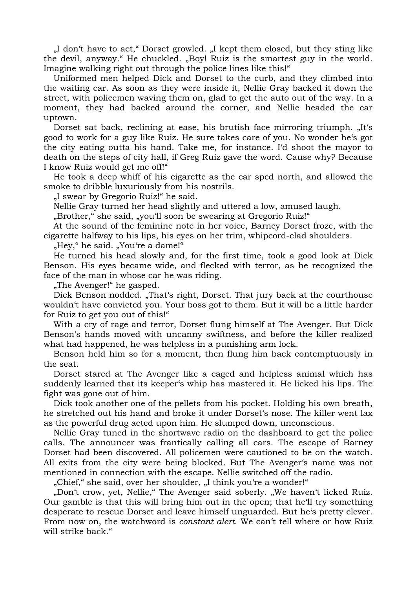"I don't have to act," Dorset growled. "I kept them closed, but they sting like the devil, anyway." He chuckled. "Boy! Ruiz is the smartest guy in the world. Imagine walking right out through the police lines like this!"

 Uniformed men helped Dick and Dorset to the curb, and they climbed into the waiting car. As soon as they were inside it, Nellie Gray backed it down the street, with policemen waving them on, glad to get the auto out of the way. In a moment, they had backed around the corner, and Nellie headed the car uptown.

Dorset sat back, reclining at ease, his brutish face mirroring triumph. "It's good to work for a guy like Ruiz. He sure takes care of you. No wonder he's got the city eating outta his hand. Take me, for instance. I'd shoot the mayor to death on the steps of city hall, if Greg Ruiz gave the word. Cause why? Because I know Ruiz would get me off!"

 He took a deep whiff of his cigarette as the car sped north, and allowed the smoke to dribble luxuriously from his nostrils.

"I swear by Gregorio Ruiz!" he said.

Nellie Gray turned her head slightly and uttered a low, amused laugh.

"Brother," she said, "you'll soon be swearing at Gregorio Ruiz!"

 At the sound of the feminine note in her voice, Barney Dorset froze, with the cigarette halfway to his lips, his eyes on her trim, whipcord-clad shoulders.

"Hey," he said. "You're a dame!"

 He turned his head slowly and, for the first time, took a good look at Dick Benson. His eyes became wide, and flecked with terror, as he recognized the face of the man in whose car he was riding.

"The Avenger!" he gasped.

Dick Benson nodded. "That's right, Dorset. That jury back at the courthouse wouldn't have convicted you. Your boss got to them. But it will be a little harder for Ruiz to get you out of this!"

 With a cry of rage and terror, Dorset flung himself at The Avenger. But Dick Benson's hands moved with uncanny swiftness, and before the killer realized what had happened, he was helpless in a punishing arm lock.

 Benson held him so for a moment, then flung him back contemptuously in the seat.

 Dorset stared at The Avenger like a caged and helpless animal which has suddenly learned that its keeper's whip has mastered it. He licked his lips. The fight was gone out of him.

 Dick took another one of the pellets from his pocket. Holding his own breath, he stretched out his hand and broke it under Dorset's nose. The killer went lax as the powerful drug acted upon him. He slumped down, unconscious.

 Nellie Gray tuned in the shortwave radio on the dashboard to get the police calls. The announcer was frantically calling all cars. The escape of Barney Dorset had been discovered. All policemen were cautioned to be on the watch. All exits from the city were being blocked. But The Avenger's name was not mentioned in connection with the escape. Nellie switched off the radio.

"Chief, " she said, over her shoulder, "I think you're a wonder!"

 "Don't crow, yet, Nellie," The Avenger said soberly. "We haven't licked Ruiz. Our gamble is that this will bring him out in the open; that he'll try something desperate to rescue Dorset and leave himself unguarded. But he's pretty clever. From now on, the watchword is *constant alert*. We can't tell where or how Ruiz will strike back."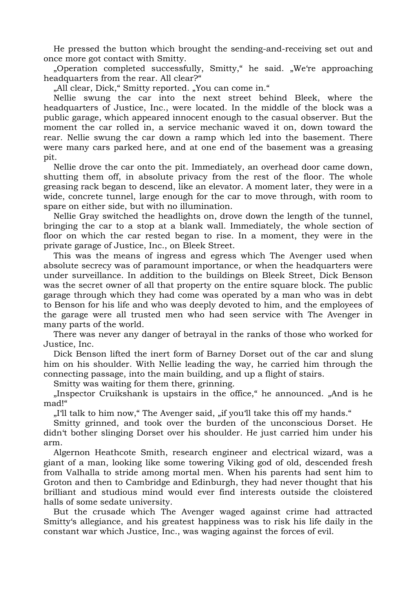He pressed the button which brought the sending-and-receiving set out and once more got contact with Smitty.

 "Operation completed successfully, Smitty," he said. "We're approaching headquarters from the rear. All clear?"

"All clear, Dick," Smitty reported. "You can come in."

 Nellie swung the car into the next street behind Bleek, where the headquarters of Justice, Inc., were located. In the middle of the block was a public garage, which appeared innocent enough to the casual observer. But the moment the car rolled in, a service mechanic waved it on, down toward the rear. Nellie swung the car down a ramp which led into the basement. There were many cars parked here, and at one end of the basement was a greasing pit.

 Nellie drove the car onto the pit. Immediately, an overhead door came down, shutting them off, in absolute privacy from the rest of the floor. The whole greasing rack began to descend, like an elevator. A moment later, they were in a wide, concrete tunnel, large enough for the car to move through, with room to spare on either side, but with no illumination.

 Nellie Gray switched the headlights on, drove down the length of the tunnel, bringing the car to a stop at a blank wall. Immediately, the whole section of floor on which the car rested began to rise. In a moment, they were in the private garage of Justice, Inc., on Bleek Street.

 This was the means of ingress and egress which The Avenger used when absolute secrecy was of paramount importance, or when the headquarters were under surveillance. In addition to the buildings on Bleek Street, Dick Benson was the secret owner of all that property on the entire square block. The public garage through which they had come was operated by a man who was in debt to Benson for his life and who was deeply devoted to him, and the employees of the garage were all trusted men who had seen service with The Avenger in many parts of the world.

 There was never any danger of betrayal in the ranks of those who worked for Justice, Inc.

 Dick Benson lifted the inert form of Barney Dorset out of the car and slung him on his shoulder. With Nellie leading the way, he carried him through the connecting passage, into the main building, and up a flight of stairs.

Smitty was waiting for them there, grinning.

 "Inspector Cruikshank is upstairs in the office," he announced. "And is he mad!"

"I'll talk to him now," The Avenger said, "if you'll take this off my hands."

 Smitty grinned, and took over the burden of the unconscious Dorset. He didn't bother slinging Dorset over his shoulder. He just carried him under his arm.

 Algernon Heathcote Smith, research engineer and electrical wizard, was a giant of a man, looking like some towering Viking god of old, descended fresh from Valhalla to stride among mortal men. When his parents had sent him to Groton and then to Cambridge and Edinburgh, they had never thought that his brilliant and studious mind would ever find interests outside the cloistered halls of some sedate university.

 But the crusade which The Avenger waged against crime had attracted Smitty's allegiance, and his greatest happiness was to risk his life daily in the constant war which Justice, Inc., was waging against the forces of evil.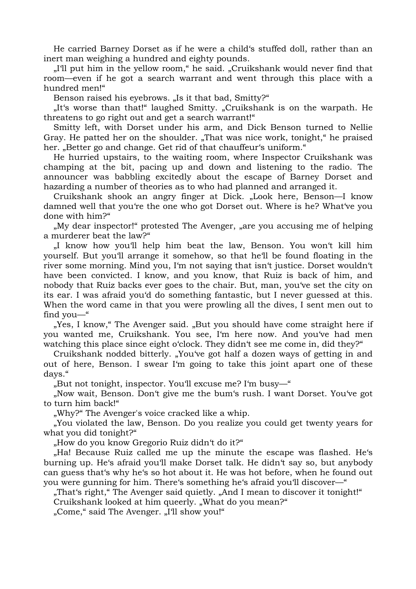He carried Barney Dorset as if he were a child's stuffed doll, rather than an inert man weighing a hundred and eighty pounds.

 "I'll put him in the yellow room," he said. "Cruikshank would never find that room—even if he got a search warrant and went through this place with a hundred men!"

Benson raised his eyebrows. "Is it that bad, Smitty?"

 "It's worse than that!" laughed Smitty. "Cruikshank is on the warpath. He threatens to go right out and get a search warrant!"

 Smitty left, with Dorset under his arm, and Dick Benson turned to Nellie Gray. He patted her on the shoulder. "That was nice work, tonight," he praised her. "Better go and change. Get rid of that chauffeur's uniform."

 He hurried upstairs, to the waiting room, where Inspector Cruikshank was champing at the bit, pacing up and down and listening to the radio. The announcer was babbling excitedly about the escape of Barney Dorset and hazarding a number of theories as to who had planned and arranged it.

Cruikshank shook an angry finger at Dick. "Look here, Benson—I know damned well that you're the one who got Dorset out. Where is he? What've you done with him?"

 "My dear inspector!" protested The Avenger, "are you accusing me of helping a murderer beat the law?"

 "I know how you'll help him beat the law, Benson. You won't kill him yourself. But you'll arrange it somehow, so that he'll be found floating in the river some morning. Mind you, I'm not saying that isn't justice. Dorset wouldn't have been convicted. I know, and you know, that Ruiz is back of him, and nobody that Ruiz backs ever goes to the chair. But, man, you've set the city on its ear. I was afraid you'd do something fantastic, but I never guessed at this. When the word came in that you were prowling all the dives, I sent men out to find you—"

 "Yes, I know," The Avenger said. "But you should have come straight here if you wanted me, Cruikshank. You see, I'm here now. And you've had men watching this place since eight o'clock. They didn't see me come in, did they?"

Cruikshank nodded bitterly. "You've got half a dozen ways of getting in and out of here, Benson. I swear I'm going to take this joint apart one of these days."

"But not tonight, inspector. You'll excuse me? I'm busy—"

 "Now wait, Benson. Don't give me the bum's rush. I want Dorset. You've got to turn him back!"

"Why?" The Avenger's voice cracked like a whip.

 "You violated the law, Benson. Do you realize you could get twenty years for what you did tonight?"

"How do you know Gregorio Ruiz didn't do it?"

 "Ha! Because Ruiz called me up the minute the escape was flashed. He's burning up. He's afraid you'll make Dorset talk. He didn't say so, but anybody can guess that's why he's so hot about it. He was hot before, when he found out you were gunning for him. There's something he's afraid you'll discover—"

"That's right," The Avenger said quietly. "And I mean to discover it tonight!" Cruikshank looked at him queerly. "What do you mean?"

"Come," said The Avenger. "I'll show you!"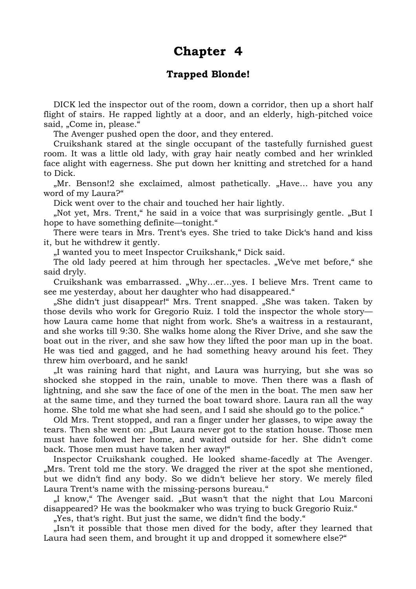### **Chapter 4**

#### **Trapped Blonde!**

 DICK led the inspector out of the room, down a corridor, then up a short half flight of stairs. He rapped lightly at a door, and an elderly, high-pitched voice said, "Come in, please."

The Avenger pushed open the door, and they entered.

 Cruikshank stared at the single occupant of the tastefully furnished guest room. It was a little old lady, with gray hair neatly combed and her wrinkled face alight with eagerness. She put down her knitting and stretched for a hand to Dick.

"Mr. Benson!2 she exclaimed, almost pathetically. "Have... have you any word of my Laura?"

Dick went over to the chair and touched her hair lightly.

"Not yet, Mrs. Trent," he said in a voice that was surprisingly gentle. "But I hope to have something definite—tonight."

 There were tears in Mrs. Trent's eyes. She tried to take Dick's hand and kiss it, but he withdrew it gently.

"I wanted you to meet Inspector Cruikshank," Dick said.

The old lady peered at him through her spectacles. "We've met before," she said dryly.

Cruikshank was embarrassed. "Why...er...yes. I believe Mrs. Trent came to see me yesterday, about her daughter who had disappeared."

 "She didn't just disappear!" Mrs. Trent snapped. "She was taken. Taken by those devils who work for Gregorio Ruiz. I told the inspector the whole story how Laura came home that night from work. She's a waitress in a restaurant, and she works till 9:30. She walks home along the River Drive, and she saw the boat out in the river, and she saw how they lifted the poor man up in the boat. He was tied and gagged, and he had something heavy around his feet. They threw him overboard, and he sank!

 "It was raining hard that night, and Laura was hurrying, but she was so shocked she stopped in the rain, unable to move. Then there was a flash of lightning, and she saw the face of one of the men in the boat. The men saw her at the same time, and they turned the boat toward shore. Laura ran all the way home. She told me what she had seen, and I said she should go to the police."

 Old Mrs. Trent stopped, and ran a finger under her glasses, to wipe away the tears. Then she went on: "But Laura never got to the station house. Those men must have followed her home, and waited outside for her. She didn't come back. Those men must have taken her away!"

 Inspector Cruikshank coughed. He looked shame-facedly at The Avenger. "Mrs. Trent told me the story. We dragged the river at the spot she mentioned, but we didn't find any body. So we didn't believe her story. We merely filed Laura Trent's name with the missing-persons bureau."

"I know," The Avenger said. "But wasn't that the night that Lou Marconi disappeared? He was the bookmaker who was trying to buck Gregorio Ruiz."

"Yes, that's right. But just the same, we didn't find the body."

 "Isn't it possible that those men dived for the body, after they learned that Laura had seen them, and brought it up and dropped it somewhere else?"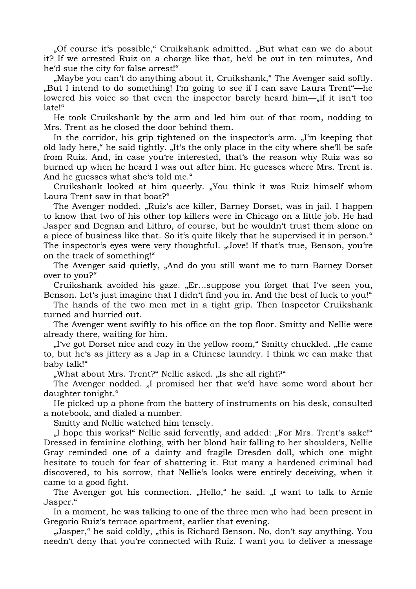"Of course it's possible," Cruikshank admitted. "But what can we do about it? If we arrested Ruiz on a charge like that, he'd be out in ten minutes, And he'd sue the city for false arrest!"

"Maybe you can't do anything about it, Cruikshank," The Avenger said softly. "But I intend to do something! I'm going to see if I can save Laura Trent"—he lowered his voice so that even the inspector barely heard him—"if it isn't too late!"

 He took Cruikshank by the arm and led him out of that room, nodding to Mrs. Trent as he closed the door behind them.

In the corridor, his grip tightened on the inspector's arm. "I'm keeping that old lady here," he said tightly. "It's the only place in the city where she'll be safe from Ruiz. And, in case you're interested, that's the reason why Ruiz was so burned up when he heard I was out after him. He guesses where Mrs. Trent is. And he guesses what she's told me."

Cruikshank looked at him queerly. "You think it was Ruiz himself whom Laura Trent saw in that boat?"

The Avenger nodded. "Ruiz's ace killer, Barney Dorset, was in jail. I happen to know that two of his other top killers were in Chicago on a little job. He had Jasper and Degnan and Lithro, of course, but he wouldn't trust them alone on a piece of business like that. So it's quite likely that he supervised it in person." The inspector's eyes were very thoughtful. "Jove! If that's true, Benson, you're on the track of something!"

The Avenger said quietly, "And do you still want me to turn Barney Dorset over to you?"

Cruikshank avoided his gaze. "Er...suppose you forget that I've seen you, Benson. Let's just imagine that I didn't find you in. And the best of luck to you!"

 The hands of the two men met in a tight grip. Then Inspector Cruikshank turned and hurried out.

 The Avenger went swiftly to his office on the top floor. Smitty and Nellie were already there, waiting for him.

 "I've got Dorset nice and cozy in the yellow room," Smitty chuckled. "He came to, but he's as jittery as a Jap in a Chinese laundry. I think we can make that baby talk!"

"What about Mrs. Trent?" Nellie asked. "Is she all right?"

The Avenger nodded. "I promised her that we'd have some word about her daughter tonight."

 He picked up a phone from the battery of instruments on his desk, consulted a notebook, and dialed a number.

Smitty and Nellie watched him tensely.

 "I hope this works!" Nellie said fervently, and added: "For Mrs. Trent's sake!" Dressed in feminine clothing, with her blond hair falling to her shoulders, Nellie Gray reminded one of a dainty and fragile Dresden doll, which one might hesitate to touch for fear of shattering it. But many a hardened criminal had discovered, to his sorrow, that Nellie's looks were entirely deceiving, when it came to a good fight.

The Avenger got his connection. "Hello," he said. "I want to talk to Arnie Jasper."

 In a moment, he was talking to one of the three men who had been present in Gregorio Ruiz's terrace apartment, earlier that evening.

 "Jasper," he said coldly, "this is Richard Benson. No, don't say anything. You needn't deny that you're connected with Ruiz. I want you to deliver a message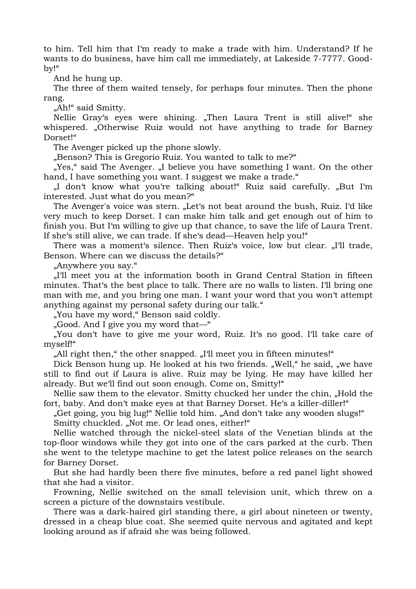to him. Tell him that I'm ready to make a trade with him. Understand? If he wants to do business, have him call me immediately, at Lakeside 7-7777. Goodby!"

And he hung up.

 The three of them waited tensely, for perhaps four minutes. Then the phone rang.

"Ah!" said Smitty.

Nellie Gray's eyes were shining. "Then Laura Trent is still alive!" she whispered. "Otherwise Ruiz would not have anything to trade for Barney Dorset!"

The Avenger picked up the phone slowly.

"Benson? This is Gregorio Ruiz. You wanted to talk to me?"

"Yes," said The Avenger. "I believe you have something I want. On the other hand, I have something you want. I suggest we make a trade."

"I don't know what you're talking about!" Ruiz said carefully. "But I'm interested. Just what do you mean?"

The Avenger's voice was stern. "Let's not beat around the bush, Ruiz. I'd like very much to keep Dorset. I can make him talk and get enough out of him to finish you. But I'm willing to give up that chance, to save the life of Laura Trent. If she's still alive, we can trade. If she's dead—Heaven help you!"

There was a moment's silence. Then Ruiz's voice, low but clear. "I'll trade, Benson. Where can we discuss the details?"

"Anywhere you say."

 "I'll meet you at the information booth in Grand Central Station in fifteen minutes. That's the best place to talk. There are no walls to listen. I'll bring one man with me, and you bring one man. I want your word that you won't attempt anything against my personal safety during our talk."

"You have my word," Benson said coldly.

"Good. And I give you my word that—"

 "You don't have to give me your word, Ruiz. It's no good. I'll take care of myself!"

"All right then," the other snapped. "I'll meet you in fifteen minutes!"

Dick Benson hung up. He looked at his two friends. "Well," he said, "we have still to find out if Laura is alive. Ruiz may be Iying. He may have killed her already. But we'll find out soon enough. Come on, Smitty!"

Nellie saw them to the elevator. Smitty chucked her under the chin, "Hold the fort, baby. And don't make eyes at that Barney Dorset. He's a killer-diller!"

"Get going, you big lug!" Nellie told him. "And don't take any wooden slugs!" Smitty chuckled. "Not me. Or lead ones, either!"

 Nellie watched through the nickel-steel slats of the Venetian blinds at the top-floor windows while they got into one of the cars parked at the curb. Then she went to the teletype machine to get the latest police releases on the search for Barney Dorset.

 But she had hardly been there five minutes, before a red panel light showed that she had a visitor.

 Frowning, Nellie switched on the small television unit, which threw on a screen a picture of the downstairs vestibule.

 There was a dark-haired girl standing there, a girl about nineteen or twenty, dressed in a cheap blue coat. She seemed quite nervous and agitated and kept looking around as if afraid she was being followed.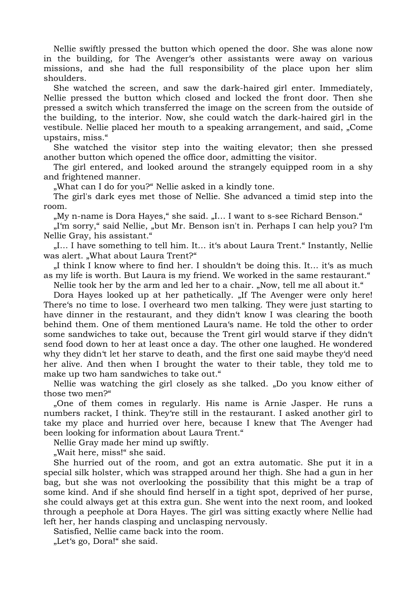Nellie swiftly pressed the button which opened the door. She was alone now in the building, for The Avenger's other assistants were away on various missions, and she had the full responsibility of the place upon her slim shoulders.

 She watched the screen, and saw the dark-haired girl enter. Immediately, Nellie pressed the button which closed and locked the front door. Then she pressed a switch which transferred the image on the screen from the outside of the building, to the interior. Now, she could watch the dark-haired girl in the vestibule. Nellie placed her mouth to a speaking arrangement, and said, "Come upstairs, miss."

 She watched the visitor step into the waiting elevator; then she pressed another button which opened the office door, admitting the visitor.

 The girl entered, and looked around the strangely equipped room in a shy and frightened manner.

"What can I do for you?" Nellie asked in a kindly tone.

 The girl's dark eyes met those of Nellie. She advanced a timid step into the room.

"My n-name is Dora Hayes," she said. "I... I want to s-see Richard Benson."

 "I'm sorry," said Nellie, "but Mr. Benson isn't in. Perhaps I can help you? I'm Nellie Gray, his assistant."

"I... I have something to tell him. It... it's about Laura Trent." Instantly, Nellie was alert. "What about Laura Trent?"

 $\mathcal{L}$  I think I know where to find her. I shouldn't be doing this. It... it's as much as my life is worth. But Laura is my friend. We worked in the same restaurant."

Nellie took her by the arm and led her to a chair. "Now, tell me all about it."

Dora Hayes looked up at her pathetically. "If The Avenger were only here! There's no time to lose. I overheard two men talking. They were just starting to have dinner in the restaurant, and they didn't know I was clearing the booth behind them. One of them mentioned Laura's name. He told the other to order some sandwiches to take out, because the Trent girl would starve if they didn't send food down to her at least once a day. The other one laughed. He wondered why they didn't let her starve to death, and the first one said maybe they'd need her alive. And then when I brought the water to their table, they told me to make up two ham sandwiches to take out."

Nellie was watching the girl closely as she talked. "Do you know either of those two men?"

 "One of them comes in regularly. His name is Arnie Jasper. He runs a numbers racket, I think. They're still in the restaurant. I asked another girl to take my place and hurried over here, because I knew that The Avenger had been looking for information about Laura Trent."

Nellie Gray made her mind up swiftly.

"Wait here, miss!" she said.

 She hurried out of the room, and got an extra automatic. She put it in a special silk holster, which was strapped around her thigh. She had a gun in her bag, but she was not overlooking the possibility that this might be a trap of some kind. And if she should find herself in a tight spot, deprived of her purse, she could always get at this extra gun. She went into the next room, and looked through a peephole at Dora Hayes. The girl was sitting exactly where Nellie had left her, her hands clasping and unclasping nervously.

Satisfied, Nellie came back into the room.

"Let's go, Dora!" she said.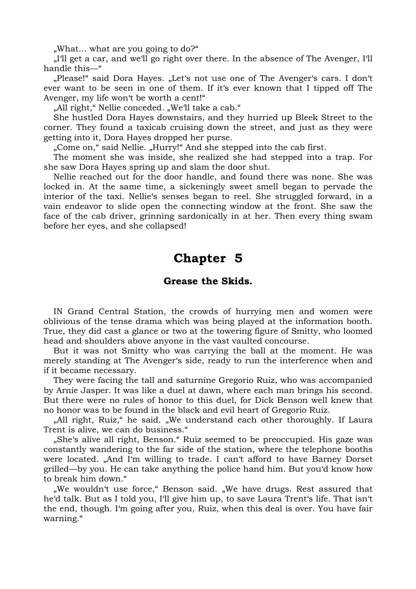"What… what are you going to do?"

 "I'll get a car, and we'll go right over there. In the absence of The Avenger, I'll handle this—"

"Please!" said Dora Hayes. "Let's not use one of The Avenger's cars. I don't ever want to be seen in one of them. If it's ever known that I tipped off The Avenger, my life won't be worth a cent!"

"All right," Nellie conceded. "We'll take a cab."

 She hustled Dora Hayes downstairs, and they hurried up Bleek Street to the corner. They found a taxicab cruising down the street, and just as they were getting into it, Dora Hayes dropped her purse.

"Come on," said Nellie. "Hurry!" And she stepped into the cab first.

 The moment she was inside, she realized she had stepped into a trap. For she saw Dora Hayes spring up and slam the door shut.

 Nellie reached out for the door handle, and found there was none. She was locked in. At the same time, a sickeningly sweet smell began to pervade the interior of the taxi. Nellie's senses began to reel. She struggled forward, in a vain endeavor to slide open the connecting window at the front. She saw the face of the cab driver, grinning sardonically in at her. Then every thing swam before her eyes, and she collapsed!

### **Chapter 5**

#### **Grease the Skids.**

 IN Grand Central Station, the crowds of hurrying men and women were oblivious of the tense drama which was being played at the information booth. True, they did cast a glance or two at the towering figure of Smitty, who loomed head and shoulders above anyone in the vast vaulted concourse.

 But it was not Smitty who was carrying the ball at the moment. He was merely standing at The Avenger's side, ready to run the interference when and if it became necessary.

 They were facing the tall and saturnine Gregorio Ruiz, who was accompanied by Arnie Jasper. It was like a duel at dawn, where each man brings his second. But there were no rules of honor to this duel, for Dick Benson well knew that no honor was to be found in the black and evil heart of Gregorio Ruiz.

"All right, Ruiz," he said. "We understand each other thoroughly. If Laura Trent is alive, we can do business."

 "She's alive all right, Benson." Ruiz seemed to be preoccupied. His gaze was constantly wandering to the far side of the station, where the telephone booths were located. "And I'm willing to trade. I can't afford to have Barney Dorset grilled—by you. He can take anything the police hand him. But you'd know how to break him down."

"We wouldn't use force," Benson said. "We have drugs. Rest assured that he'd talk. But as I told you, I'll give him up, to save Laura Trent's life. That isn't the end, though. I'm going after you, Ruiz, when this deal is over. You have fair warning."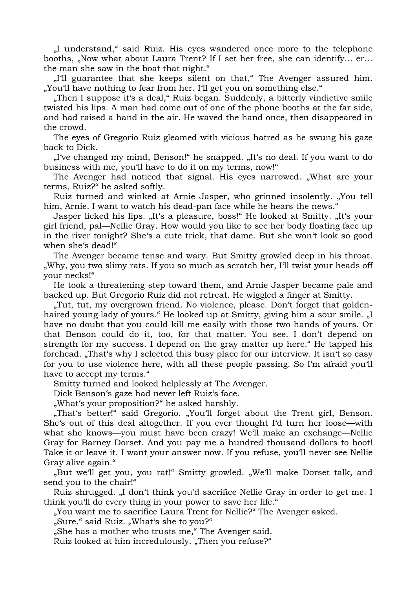"I understand," said Ruiz. His eyes wandered once more to the telephone booths, "Now what about Laura Trent? If I set her free, she can identify... er... the man she saw in the boat that night."

 "I'll guarantee that she keeps silent on that," The Avenger assured him. "You'll have nothing to fear from her. I'll get you on something else."

"Then I suppose it's a deal," Ruiz began. Suddenly, a bitterly vindictive smile twisted his lips. A man had come out of one of the phone booths at the far side, and had raised a hand in the air. He waved the hand once, then disappeared in the crowd.

 The eyes of Gregorio Ruiz gleamed with vicious hatred as he swung his gaze back to Dick.

"I've changed my mind, Benson!" he snapped. "It's no deal. If you want to do business with me, you'll have to do it on my terms, now!"

The Avenger had noticed that signal. His eyes narrowed. "What are your terms, Ruiz?" he asked softly.

Ruiz turned and winked at Arnie Jasper, who grinned insolently. "You tell him, Arnie. I want to watch his dead-pan face while he hears the news."

Jasper licked his lips. "It's a pleasure, boss!" He looked at Smitty. "It's your girl friend, pal—Nellie Gray. How would you like to see her body floating face up in the river tonight? She's a cute trick, that dame. But she won't look so good when she's dead!"

 The Avenger became tense and wary. But Smitty growled deep in his throat. "Why, you two slimy rats. If you so much as scratch her, I'll twist your heads off your necks!"

 He took a threatening step toward them, and Arnie Jasper became pale and backed up. But Gregorio Ruiz did not retreat. He wiggled a finger at Smitty.

"Tut, tut, my overgrown friend. No violence, please. Don't forget that goldenhaired young lady of yours." He looked up at Smitty, giving him a sour smile. "I have no doubt that you could kill me easily with those two hands of yours. Or that Benson could do it, too, for that matter. You see. I don't depend on strength for my success. I depend on the gray matter up here." He tapped his forehead. "That's why I selected this busy place for our interview. It isn't so easy for you to use violence here, with all these people passing. So I'm afraid you'll have to accept my terms."

Smitty turned and looked helplessly at The Avenger.

Dick Benson's gaze had never left Ruiz's face.

"What's your proposition?" he asked harshly.

"That's better!" said Gregorio. "You'll forget about the Trent girl, Benson. She's out of this deal altogether. If you ever thought I'd turn her loose—with what she knows—you must have been crazy! We'll make an exchange—Nellie Gray for Barney Dorset. And you pay me a hundred thousand dollars to boot! Take it or leave it. I want your answer now. If you refuse, you'll never see Nellie Gray alive again."

"But we'll get you, you rat!" Smitty growled. "We'll make Dorset talk, and send you to the chair!"

Ruiz shrugged. "I don't think you'd sacrifice Nellie Gray in order to get me. I think you'll do every thing in your power to save her life."

. You want me to sacrifice Laura Trent for Nellie?" The Avenger asked.

"Sure," said Ruiz. "What's she to you?"

"She has a mother who trusts me," The Avenger said.

Ruiz looked at him incredulously. "Then you refuse?"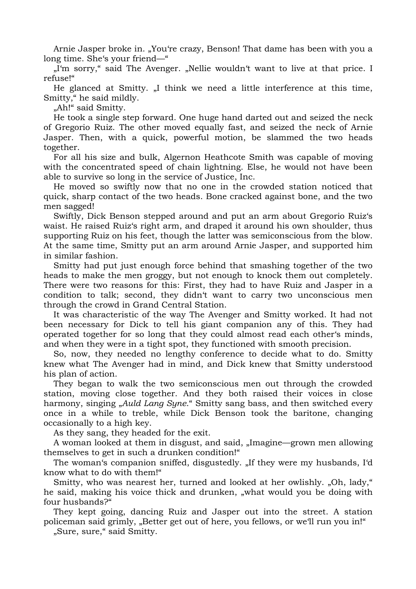Arnie Jasper broke in. "You're crazy, Benson! That dame has been with you a long time. She's your friend—"

 "I'm sorry," said The Avenger. "Nellie wouldn't want to live at that price. I refuse!"

He glanced at Smitty. "I think we need a little interference at this time, Smitty," he said mildly.

"Ah!" said Smitty.

 He took a single step forward. One huge hand darted out and seized the neck of Gregorio Ruiz. The other moved equally fast, and seized the neck of Arnie Jasper. Then, with a quick, powerful motion, be slammed the two heads together.

 For all his size and bulk, Algernon Heathcote Smith was capable of moving with the concentrated speed of chain lightning. Else, he would not have been able to survive so long in the service of Justice, Inc.

 He moved so swiftly now that no one in the crowded station noticed that quick, sharp contact of the two heads. Bone cracked against bone, and the two men sagged!

 Swiftly, Dick Benson stepped around and put an arm about Gregorio Ruiz's waist. He raised Ruiz's right arm, and draped it around his own shoulder, thus supporting Ruiz on his feet, though the latter was semiconscious from the blow. At the same time, Smitty put an arm around Arnie Jasper, and supported him in similar fashion.

 Smitty had put just enough force behind that smashing together of the two heads to make the men groggy, but not enough to knock them out completely. There were two reasons for this: First, they had to have Ruiz and Jasper in a condition to talk; second, they didn't want to carry two unconscious men through the crowd in Grand Central Station.

 It was characteristic of the way The Avenger and Smitty worked. It had not been necessary for Dick to tell his giant companion any of this. They had operated together for so long that they could almost read each other's minds, and when they were in a tight spot, they functioned with smooth precision.

 So, now, they needed no lengthy conference to decide what to do. Smitty knew what The Avenger had in mind, and Dick knew that Smitty understood his plan of action.

 They began to walk the two semiconscious men out through the crowded station, moving close together. And they both raised their voices in close harmony, singing "*Auld Lang Syne*." Smitty sang bass, and then switched every once in a while to treble, while Dick Benson took the baritone, changing occasionally to a high key.

As they sang, they headed for the exit.

A woman looked at them in disgust, and said, "Imagine—grown men allowing themselves to get in such a drunken condition!"

The woman's companion sniffed, disgustedly. "If they were my husbands, I'd know what to do with them!"

Smitty, who was nearest her, turned and looked at her owlishly. "Oh, lady," he said, making his voice thick and drunken, "what would you be doing with four husbands?"

 They kept going, dancing Ruiz and Jasper out into the street. A station policeman said grimly, "Better get out of here, you fellows, or we'll run you in!"

"Sure, sure," said Smitty.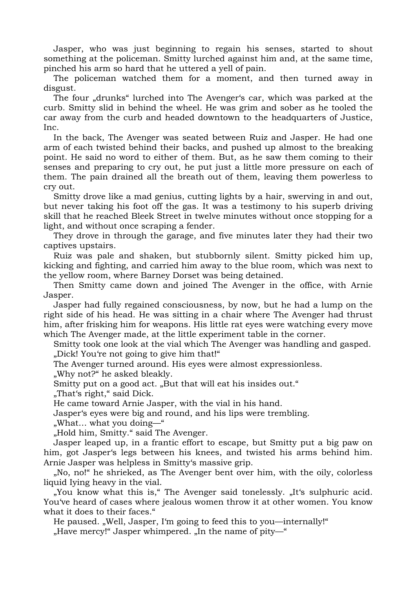Jasper, who was just beginning to regain his senses, started to shout something at the policeman. Smitty lurched against him and, at the same time, pinched his arm so hard that he uttered a yell of pain.

 The policeman watched them for a moment, and then turned away in disgust.

The four "drunks" lurched into The Avenger's car, which was parked at the curb. Smitty slid in behind the wheel. He was grim and sober as he tooled the car away from the curb and headed downtown to the headquarters of Justice, Inc.

 In the back, The Avenger was seated between Ruiz and Jasper. He had one arm of each twisted behind their backs, and pushed up almost to the breaking point. He said no word to either of them. But, as he saw them coming to their senses and preparing to cry out, he put just a little more pressure on each of them. The pain drained all the breath out of them, leaving them powerless to cry out.

 Smitty drove like a mad genius, cutting lights by a hair, swerving in and out, but never taking his foot off the gas. It was a testimony to his superb driving skill that he reached Bleek Street in twelve minutes without once stopping for a light, and without once scraping a fender.

 They drove in through the garage, and five minutes later they had their two captives upstairs.

 Ruiz was pale and shaken, but stubbornly silent. Smitty picked him up, kicking and fighting, and carried him away to the blue room, which was next to the yellow room, where Barney Dorset was being detained.

 Then Smitty came down and joined The Avenger in the office, with Arnie Jasper.

 Jasper had fully regained consciousness, by now, but he had a lump on the right side of his head. He was sitting in a chair where The Avenger had thrust him, after frisking him for weapons. His little rat eyes were watching every move which The Avenger made, at the little experiment table in the corner.

 Smitty took one look at the vial which The Avenger was handling and gasped. "Dick! You're not going to give him that!"

The Avenger turned around. His eyes were almost expressionless.

"Why not?" he asked bleakly.

Smitty put on a good act. "But that will eat his insides out."

"That's right," said Dick.

He came toward Arnie Jasper, with the vial in his hand.

Jasper's eyes were big and round, and his lips were trembling.

"What… what you doing—"

"Hold him, Smitty." said The Avenger.

 Jasper leaped up, in a frantic effort to escape, but Smitty put a big paw on him, got Jasper's legs between his knees, and twisted his arms behind him. Arnie Jasper was helpless in Smitty's massive grip.

 "No, no!" he shrieked, as The Avenger bent over him, with the oily, colorless liquid Iying heavy in the vial.

"You know what this is," The Avenger said tonelessly. "It's sulphuric acid. You've heard of cases where jealous women throw it at other women. You know what it does to their faces."

He paused. "Well, Jasper, I'm going to feed this to you—internally!"

"Have mercy!" Jasper whimpered. "In the name of pity—"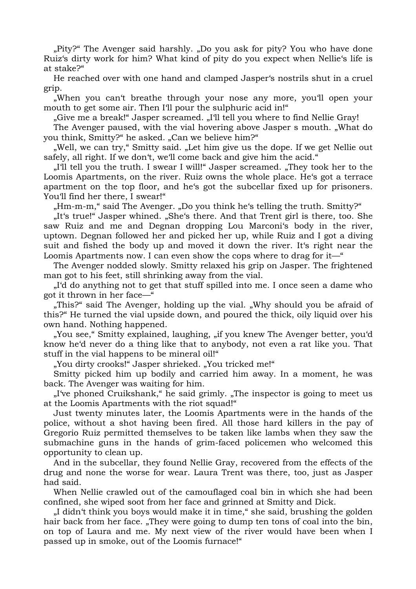"Pity?" The Avenger said harshly. "Do you ask for pity? You who have done Ruiz's dirty work for him? What kind of pity do you expect when Nellie's life is at stake?"

 He reached over with one hand and clamped Jasper's nostrils shut in a cruel grip.

 "When you can't breathe through your nose any more, you'll open your mouth to get some air. Then I'll pour the sulphuric acid in!"

"Give me a break!" Jasper screamed. "I'll tell you where to find Nellie Gray!

The Avenger paused, with the vial hovering above Jasper s mouth. "What do you think, Smitty?" he asked. "Can we believe him?"

 "Well, we can try," Smitty said. "Let him give us the dope. If we get Nellie out safely, all right. If we don't, we'll come back and give him the acid."

...I'll tell you the truth. I swear I will!" Jasper screamed. "They took her to the Loomis Apartments, on the river. Ruiz owns the whole place. He's got a terrace apartment on the top floor, and he's got the subcellar fixed up for prisoners. You'll find her there, I swear!"

"Hm-m-m," said The Avenger. "Do you think he's telling the truth. Smitty?"

 "It's true!" Jasper whined. "She's there. And that Trent girl is there, too. She saw Ruiz and me and Degnan dropping Lou Marconi's body in the river, uptown. Degnan followed her and picked her up, while Ruiz and I got a diving suit and fished the body up and moved it down the river. It's right near the Loomis Apartments now. I can even show the cops where to drag for it—"

 The Avenger nodded slowly. Smitty relaxed his grip on Jasper. The frightened man got to his feet, still shrinking away from the vial.

 "I'd do anything not to get that stuff spilled into me. I once seen a dame who got it thrown in her face—"

"This?" said The Avenger, holding up the vial. "Why should you be afraid of this?" He turned the vial upside down, and poured the thick, oily liquid over his own hand. Nothing happened.

"You see," Smitty explained, laughing, "if you knew The Avenger better, you'd know he'd never do a thing like that to anybody, not even a rat like you. That stuff in the vial happens to be mineral oil!"

"You dirty crooks!" Jasper shrieked. "You tricked me!"

 Smitty picked him up bodily and carried him away. In a moment, he was back. The Avenger was waiting for him.

"I've phoned Cruikshank," he said grimly. "The inspector is going to meet us at the Loomis Apartments with the riot squad!"

 Just twenty minutes later, the Loomis Apartments were in the hands of the police, without a shot having been fired. All those hard killers in the pay of Gregorio Ruiz permitted themselves to be taken like lambs when they saw the submachine guns in the hands of grim-faced policemen who welcomed this opportunity to clean up.

 And in the subcellar, they found Nellie Gray, recovered from the effects of the drug and none the worse for wear. Laura Trent was there, too, just as Jasper had said.

 When Nellie crawled out of the camouflaged coal bin in which she had been confined, she wiped soot from her face and grinned at Smitty and Dick.

I didn't think you boys would make it in time," she said, brushing the golden hair back from her face. "They were going to dump ten tons of coal into the bin, on top of Laura and me. My next view of the river would have been when I passed up in smoke, out of the Loomis furnace!"